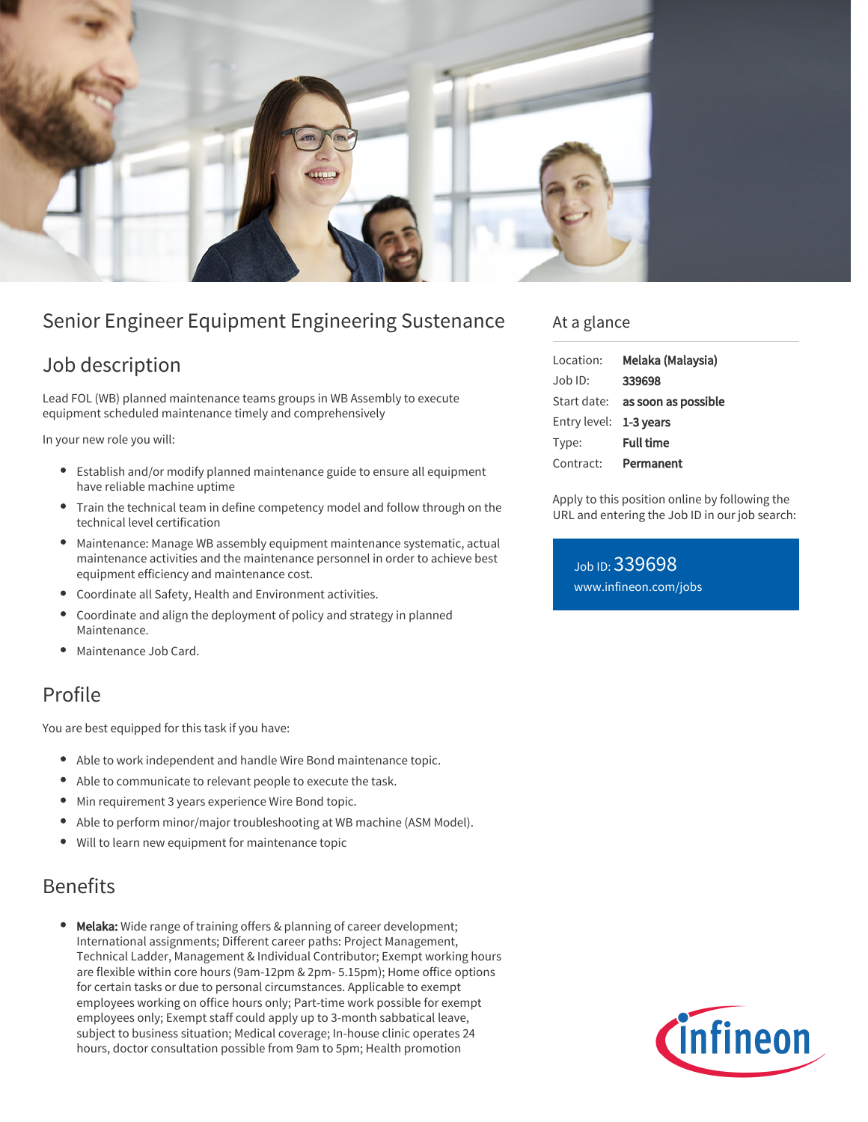

# Senior Engineer Equipment Engineering Sustenance

### Job description

Lead FOL (WB) planned maintenance teams groups in WB Assembly to execute equipment scheduled maintenance timely and comprehensively

In your new role you will:

- Establish and/or modify planned maintenance guide to ensure all equipment have reliable machine uptime
- Train the technical team in define competency model and follow through on the technical level certification
- Maintenance: Manage WB assembly equipment maintenance systematic, actual maintenance activities and the maintenance personnel in order to achieve best equipment efficiency and maintenance cost.
- Coordinate all Safety, Health and Environment activities.
- Coordinate and align the deployment of policy and strategy in planned Maintenance.
- Maintenance Job Card.

# Profile

You are best equipped for this task if you have:

- Able to work independent and handle Wire Bond maintenance topic.
- Able to communicate to relevant people to execute the task.
- Min requirement 3 years experience Wire Bond topic.
- Able to perform minor/major troubleshooting at WB machine (ASM Model).
- Will to learn new equipment for maintenance topic

# Benefits

Melaka: Wide range of training offers & planning of career development; International assignments; Different career paths: Project Management, Technical Ladder, Management & Individual Contributor; Exempt working hours are flexible within core hours (9am-12pm & 2pm- 5.15pm); Home office options for certain tasks or due to personal circumstances. Applicable to exempt employees working on office hours only; Part-time work possible for exempt employees only; Exempt staff could apply up to 3-month sabbatical leave, subject to business situation; Medical coverage; In-house clinic operates 24 hours, doctor consultation possible from 9am to 5pm; Health promotion

#### At a glance

| Location:              | Melaka (Malaysia)               |
|------------------------|---------------------------------|
| $Job$ ID:              | 339698                          |
|                        | Start date: as soon as possible |
| Entry level: 1-3 years |                                 |
| Type:                  | <b>Full time</b>                |
| Contract:              | Permanent                       |

Apply to this position online by following the URL and entering the Job ID in our job search:

Job ID: 339698 [www.infineon.com/jobs](https://www.infineon.com/jobs)